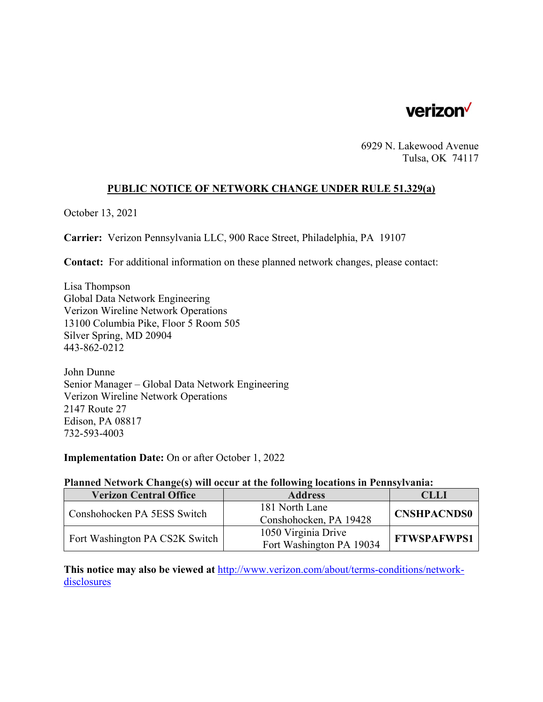

6929 N. Lakewood Avenue Tulsa, OK 74117

# **PUBLIC NOTICE OF NETWORK CHANGE UNDER RULE 51.329(a)**

October 13, 2021

**Carrier:** Verizon Pennsylvania LLC, 900 Race Street, Philadelphia, PA 19107

**Contact:** For additional information on these planned network changes, please contact:

Lisa Thompson Global Data Network Engineering Verizon Wireline Network Operations 13100 Columbia Pike, Floor 5 Room 505 Silver Spring, MD 20904 443-862-0212

John Dunne Senior Manager – Global Data Network Engineering Verizon Wireline Network Operations 2147 Route 27 Edison, PA 08817 732-593-4003

**Implementation Date:** On or after October 1, 2022

#### **Planned Network Change(s) will occur at the following locations in Pennsylvania:**

| <b>Verizon Central Office</b>  | <b>Address</b>           | CLLI               |
|--------------------------------|--------------------------|--------------------|
| Conshohocken PA 5ESS Switch    | 181 North Lane           | <b>CNSHPACNDS0</b> |
|                                | Conshohocken, PA 19428   |                    |
| Fort Washington PA CS2K Switch | 1050 Virginia Drive      | <b>FTWSPAFWPS1</b> |
|                                | Fort Washington PA 19034 |                    |

**This notice may also be viewed at** http://www.verizon.com/about/terms-conditions/networkdisclosures